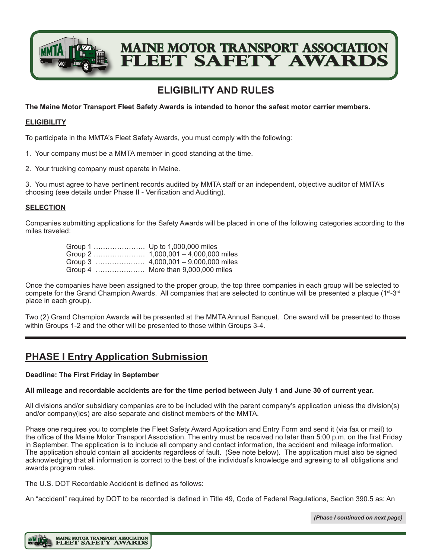

# **Maine Motor Transport Association LEET SAFETY AWARD**

## **ELIGIBILITY AND RULES**

**The Maine Motor Transport Fleet Safety Awards is intended to honor the safest motor carrier members.**

## **ELIGIBILITY**

To participate in the MMTA's Fleet Safety Awards, you must comply with the following:

- 1. Your company must be a MMTA member in good standing at the time.
- 2. Your trucking company must operate in Maine.

3. You must agree to have pertinent records audited by MMTA staff or an independent, objective auditor of MMTA's choosing (see details under Phase II ‑ Verification and Auditing).

## **SELECTION**

Companies submitting applications for the Safety Awards will be placed in one of the following categories according to the miles traveled:

| Group 1  Up to 1,000,000 miles |                                      |
|--------------------------------|--------------------------------------|
|                                |                                      |
|                                | Group 3  4,000,001 - 9,000,000 miles |
|                                | Group 4  More than 9,000,000 miles   |

Once the companies have been assigned to the proper group, the top three companies in each group will be selected to compete for the Grand Champion Awards. All companies that are selected to continue will be presented a plaque  $(1^{st} - 3^{rd})$ place in each group).

Two (2) Grand Champion Awards will be presented at the MMTA Annual Banquet. One award will be presented to those within Groups 1-2 and the other will be presented to those within Groups 3-4.

## **PHASE I Entry Application Submission**

## **Deadline: The First Friday in September**

## **All mileage and recordable accidents are for the time period between July 1 and June 30 of current year.**

All divisions and/or subsidiary companies are to be included with the parent company's application unless the division(s) and/or company(ies) are also separate and distinct members of the MMTA.

Phase one requires you to complete the Fleet Safety Award Application and Entry Form and send it (via fax or mail) to the office of the Maine Motor Transport Association. The entry must be received no later than 5:00 p.m. on the first Friday in September. The application is to include all company and contact information, the accident and mileage information. The application should contain all accidents regardless of fault. (See note below). The application must also be signed acknowledging that all information is correct to the best of the individual's knowledge and agreeing to all obligations and awards program rules.

The U.S. DOT Recordable Accident is defined as follows:

An "accident" required by DOT to be recorded is defined in Title 49, Code of Federal Regulations, Section 390.5 as: An

*(Phase I continued on next page)*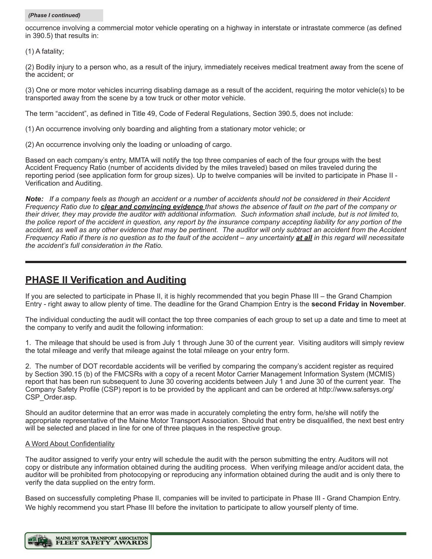#### *(Phase I continued)*

occurrence involving a commercial motor vehicle operating on a highway in interstate or intrastate commerce (as defined in 390.5) that results in:

(1) A fatality;

(2) Bodily injury to a person who, as a result of the injury, immediately receives medical treatment away from the scene of the accident; or

(3) One or more motor vehicles incurring disabling damage as a result of the accident, requiring the motor vehicle(s) to be transported away from the scene by a tow truck or other motor vehicle.

The term "accident", as defined in Title 49, Code of Federal Regulations, Section 390.5, does not include:

(1) An occurrence involving only boarding and alighting from a stationary motor vehicle; or

(2) An occurrence involving only the loading or unloading of cargo.

Based on each company's entry, MMTA will notify the top three companies of each of the four groups with the best Accident Frequency Ratio (number of accidents divided by the miles traveled) based on miles traveled during the reporting period (see application form for group sizes). Up to twelve companies will be invited to participate in Phase II ‑ Verification and Auditing.

*Note: If a company feels as though an accident or a number of accidents should not be considered in their Accident Frequency Ratio due to clear and convincing evidence that shows the absence of fault on the part of the company or their driver, they may provide the auditor with additional information. Such information shall include, but is not limited to, the police report of the accident in question, any report by the insurance company accepting liability for any portion of the*  accident, as well as any other evidence that may be pertinent. The auditor will only subtract an accident from the Accident *Frequency Ratio if there is no question as to the fault of the accident – any uncertainty at all in this regard will necessitate the accident's full consideration in the Ratio.*

## **PHASE II Verification and Auditing**

If you are selected to participate in Phase II, it is highly recommended that you begin Phase III – the Grand Champion Entry - right away to allow plenty of time. The deadline for the Grand Champion Entry is the **second Friday in November**.

The individual conducting the audit will contact the top three companies of each group to set up a date and time to meet at the company to verify and audit the following information:

1. The mileage that should be used is from July 1 through June 30 of the current year. Visiting auditors will simply review the total mileage and verify that mileage against the total mileage on your entry form.

2. The number of DOT recordable accidents will be verified by comparing the company's accident register as required by Section 390.15 (b) of the FMCSRs with a copy of a recent Motor Carrier Management Information System (MCMIS) report that has been run subsequent to June 30 covering accidents between July 1 and June 30 of the current year. The Company Safety Profile (CSP) report is to be provided by the applicant and can be ordered at http://www.safersys.org/ CSP\_Order.asp.

Should an auditor determine that an error was made in accurately completing the entry form, he/she will notify the appropriate representative of the Maine Motor Transport Association. Should that entry be disqualified, the next best entry will be selected and placed in line for one of three plaques in the respective group.

## A Word About Confidentiality

The auditor assigned to verify your entry will schedule the audit with the person submitting the entry. Auditors will not copy or distribute any information obtained during the auditing process. When verifying mileage and/or accident data, the auditor will be prohibited from photocopying or reproducing any information obtained during the audit and is only there to verify the data supplied on the entry form.

Based on successfully completing Phase II, companies will be invited to participate in Phase III ‑ Grand Champion Entry. We highly recommend you start Phase III before the invitation to participate to allow yourself plenty of time.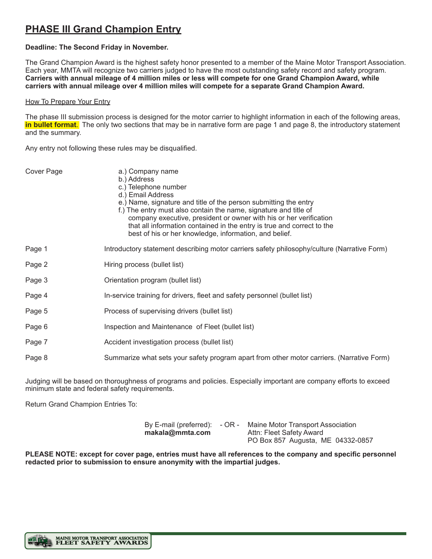## **PHASE III Grand Champion Entry**

## **Deadline: The Second Friday in November.**

The Grand Champion Award is the highest safety honor presented to a member of the Maine Motor Transport Association. Each year, MMTA will recognize two carriers judged to have the most outstanding safety record and safety program. **Carriers with annual mileage of 4 million miles or less will compete for one Grand Champion Award, while carriers with annual mileage over 4 million miles will compete for a separate Grand Champion Award.**

#### **How To Prepare Your Entry**

The phase III submission process is designed for the motor carrier to highlight information in each of the following areas, **in bullet format**. The only two sections that may be in narrative form are page 1 and page 8, the introductory statement and the summary.

Any entry not following these rules may be disqualified.

| COVEL Faye |  |  |
|------------|--|--|
|            |  |  |
|            |  |  |
|            |  |  |

- Cover Page a.) Company name
	- b.) Address
	- c.) Telephone number
	- d.) Email Address
	- e.) Name, signature and title of the person submitting the entry
	- f.) The entry must also contain the name, signature and title of company executive, president or owner with his or her verification that all information contained in the entry is true and correct to the best of his or her knowledge, information, and belief.
- Page 1 **Introductory statement describing motor carriers safety philosophy/culture (Narrative Form)**
- Page 2 **Hiring process (bullet list)**
- Page 3 **Drientation program (bullet list)**
- Page 4 In-service training for drivers, fleet and safety personnel (bullet list)
- Page 5 Process of supervising drivers (bullet list)
- Page 6 **Inspection and Maintenance of Fleet (bullet list)**
- Page 7 **Accident investigation process (bullet list)**
- Page 8 Summarize what sets your safety program apart from other motor carriers. (Narrative Form)

Judging will be based on thoroughness of programs and policies. Especially important are company efforts to exceed minimum state and federal safety requirements.

Return Grand Champion Entries To:

|                 | By E-mail (preferred): - OR - Maine Motor Transport Association |  |  |
|-----------------|-----------------------------------------------------------------|--|--|
| makala@mmta.com | Attn: Fleet Safety Award                                        |  |  |
|                 | PO Box 857 Augusta, ME 04332-0857                               |  |  |

**PLEASE NOTE: except for cover page, entries must have all references to the company and specific personnel redacted prior to submission to ensure anonymity with the impartial judges.**